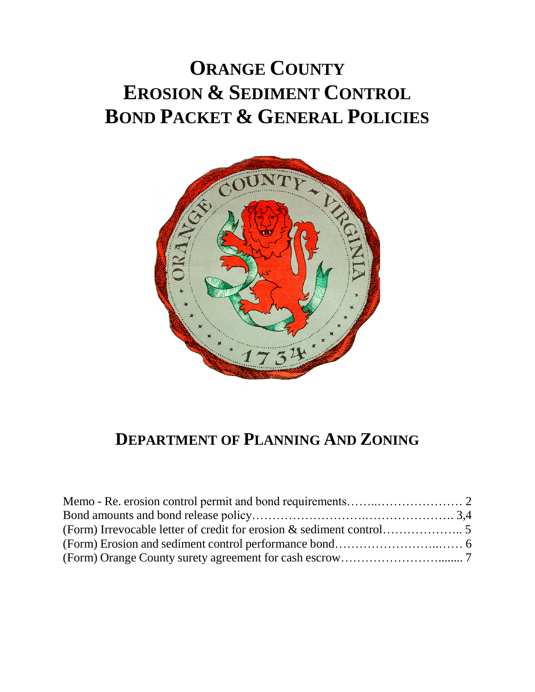# **ORANGE COUNTY EROSION & SEDIMENT CONTROL BOND PACKET & GENERAL POLICIES**



# **DEPARTMENT OF PLANNING AND ZONING**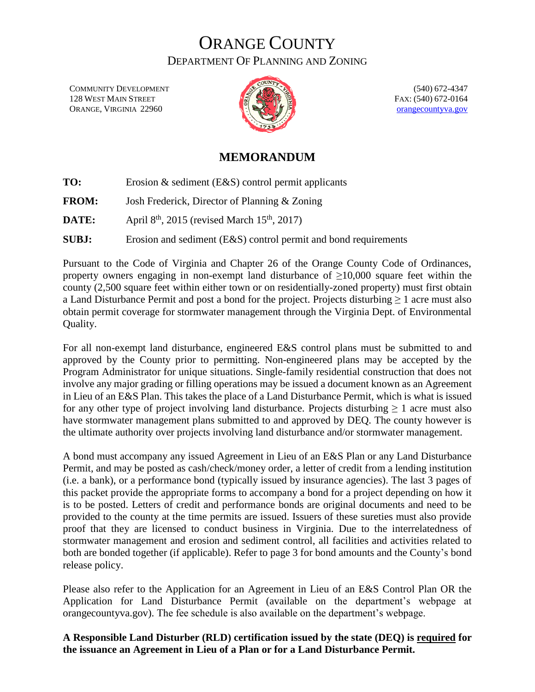COMMUNITY DEVELOPMENT 128 WEST MAIN STREET ORANGE, VIRGINIA 22960



(540) 672-4347 FAX: (540) 672-0164 [orangecountyva.gov](http://www.orangecova.com/)

#### **MEMORANDUM**

**TO:** Erosion & sediment (E&S) control permit applicants **FROM:** Josh Frederick, Director of Planning & Zoning **DATE:** April  $8<sup>th</sup>$ , 2015 (revised March 15<sup>th</sup>, 2017) **SUBJ:** Erosion and sediment (E&S) control permit and bond requirements

Pursuant to the Code of Virginia and Chapter 26 of the Orange County Code of Ordinances, property owners engaging in non-exempt land disturbance of  $\geq 10,000$  square feet within the county (2,500 square feet within either town or on residentially-zoned property) must first obtain a Land Disturbance Permit and post a bond for the project. Projects disturbing ≥ 1 acre must also obtain permit coverage for stormwater management through the Virginia Dept. of Environmental Quality.

For all non-exempt land disturbance, engineered E&S control plans must be submitted to and approved by the County prior to permitting. Non-engineered plans may be accepted by the Program Administrator for unique situations. Single-family residential construction that does not involve any major grading or filling operations may be issued a document known as an Agreement in Lieu of an E&S Plan. This takes the place of a Land Disturbance Permit, which is what is issued for any other type of project involving land disturbance. Projects disturbing  $\geq 1$  acre must also have stormwater management plans submitted to and approved by DEQ. The county however is the ultimate authority over projects involving land disturbance and/or stormwater management.

A bond must accompany any issued Agreement in Lieu of an E&S Plan or any Land Disturbance Permit, and may be posted as cash/check/money order, a letter of credit from a lending institution (i.e. a bank), or a performance bond (typically issued by insurance agencies). The last 3 pages of this packet provide the appropriate forms to accompany a bond for a project depending on how it is to be posted. Letters of credit and performance bonds are original documents and need to be provided to the county at the time permits are issued. Issuers of these sureties must also provide proof that they are licensed to conduct business in Virginia. Due to the interrelatedness of stormwater management and erosion and sediment control, all facilities and activities related to both are bonded together (if applicable). Refer to page 3 for bond amounts and the County's bond release policy.

Please also refer to the Application for an Agreement in Lieu of an E&S Control Plan OR the Application for Land Disturbance Permit (available on the department's webpage at orangecountyva.gov). The fee schedule is also available on the department's webpage.

#### **A Responsible Land Disturber (RLD) certification issued by the state (DEQ) is required for the issuance an Agreement in Lieu of a Plan or for a Land Disturbance Permit.**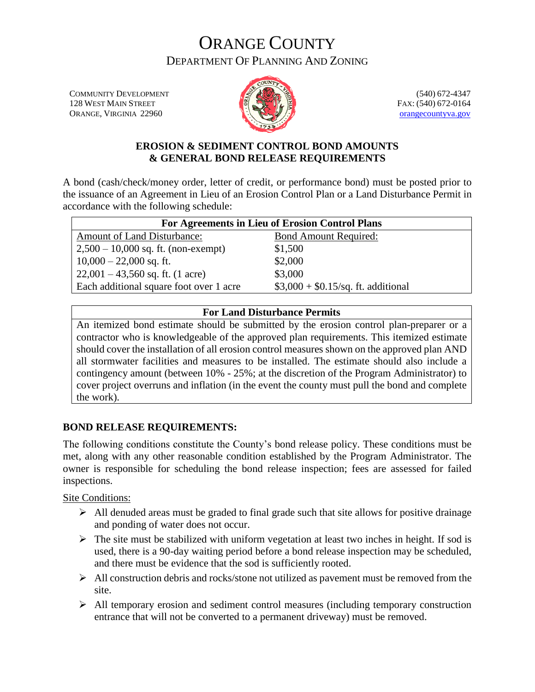COMMUNITY DEVELOPMENT 128 WEST MAIN STREET ORANGE, VIRGINIA 22960



(540) 672-4347 FAX: (540) 672-0164 [orangecountyva.gov](http://www.orangecova.com/)

#### **EROSION & SEDIMENT CONTROL BOND AMOUNTS & GENERAL BOND RELEASE REQUIREMENTS**

A bond (cash/check/money order, letter of credit, or performance bond) must be posted prior to the issuance of an Agreement in Lieu of an Erosion Control Plan or a Land Disturbance Permit in accordance with the following schedule:

| For Agreements in Lieu of Erosion Control Plans |                                      |  |  |  |  |  |  |
|-------------------------------------------------|--------------------------------------|--|--|--|--|--|--|
| <b>Amount of Land Disturbance:</b>              | <b>Bond Amount Required:</b>         |  |  |  |  |  |  |
| $2,500 - 10,000$ sq. ft. (non-exempt)           | \$1,500                              |  |  |  |  |  |  |
| $10,000 - 22,000$ sq. ft.                       | \$2,000                              |  |  |  |  |  |  |
| $22,001 - 43,560$ sq. ft. (1 acre)              | \$3,000                              |  |  |  |  |  |  |
| Each additional square foot over 1 acre         | $$3,000 + $0.15$ /sq. ft. additional |  |  |  |  |  |  |

#### **For Land Disturbance Permits**

An itemized bond estimate should be submitted by the erosion control plan-preparer or a contractor who is knowledgeable of the approved plan requirements. This itemized estimate should cover the installation of all erosion control measures shown on the approved plan AND all stormwater facilities and measures to be installed. The estimate should also include a contingency amount (between 10% - 25%; at the discretion of the Program Administrator) to cover project overruns and inflation (in the event the county must pull the bond and complete the work).

#### **BOND RELEASE REQUIREMENTS:**

The following conditions constitute the County's bond release policy. These conditions must be met, along with any other reasonable condition established by the Program Administrator. The owner is responsible for scheduling the bond release inspection; fees are assessed for failed inspections.

Site Conditions:

- $\triangleright$  All denuded areas must be graded to final grade such that site allows for positive drainage and ponding of water does not occur.
- $\triangleright$  The site must be stabilized with uniform vegetation at least two inches in height. If sod is used, there is a 90-day waiting period before a bond release inspection may be scheduled, and there must be evidence that the sod is sufficiently rooted.
- $\triangleright$  All construction debris and rocks/stone not utilized as pavement must be removed from the site.
- All temporary erosion and sediment control measures (including temporary construction entrance that will not be converted to a permanent driveway) must be removed.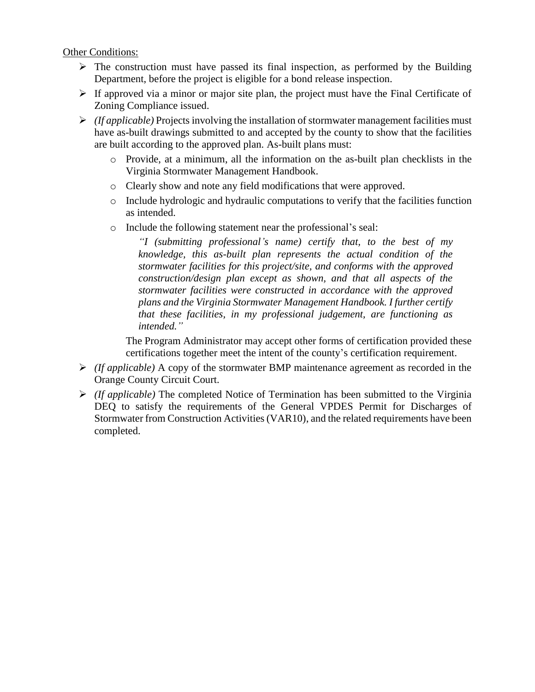Other Conditions:

- $\triangleright$  The construction must have passed its final inspection, as performed by the Building Department, before the project is eligible for a bond release inspection.
- $\triangleright$  If approved via a minor or major site plan, the project must have the Final Certificate of Zoning Compliance issued.
- $\triangleright$  *(If applicable)* Projects involving the installation of stormwater management facilities must have as-built drawings submitted to and accepted by the county to show that the facilities are built according to the approved plan. As-built plans must:
	- o Provide, at a minimum, all the information on the as-built plan checklists in the Virginia Stormwater Management Handbook.
	- o Clearly show and note any field modifications that were approved.
	- $\circ$  Include hydrologic and hydraulic computations to verify that the facilities function as intended.
	- o Include the following statement near the professional's seal:

*"I (submitting professional's name) certify that, to the best of my knowledge, this as-built plan represents the actual condition of the stormwater facilities for this project/site, and conforms with the approved construction/design plan except as shown, and that all aspects of the stormwater facilities were constructed in accordance with the approved plans and the Virginia Stormwater Management Handbook. I further certify that these facilities, in my professional judgement, are functioning as intended."*

The Program Administrator may accept other forms of certification provided these certifications together meet the intent of the county's certification requirement.

- *(If applicable)* A copy of the stormwater BMP maintenance agreement as recorded in the Orange County Circuit Court.
- *(If applicable)* The completed Notice of Termination has been submitted to the Virginia DEQ to satisfy the requirements of the General VPDES Permit for Discharges of Stormwater from Construction Activities (VAR10), and the related requirements have been completed.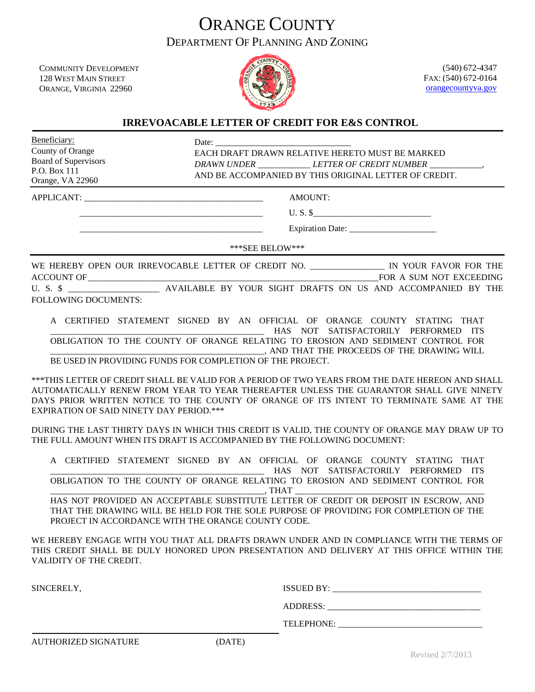COMMUNITY DEVELOPMENT 128 WEST MAIN STREET ORANGE, VIRGINIA 22960



(540) 672-4347 FAX: (540) 672-0164 [orangecountyva.gov](http://www.orangecova.com/)

#### **IRREVOACABLE LETTER OF CREDIT FOR E&S CONTROL**

Beneficiary: County of Orange Board of Supervisors P.O. Box 111 Orange, VA 22960

Date:

EACH DRAFT DRAWN RELATIVE HERETO MUST BE MARKED *DRAWN UNDER* \_\_\_\_\_\_\_\_\_\_\_\_ *LETTER OF CREDIT NUMBER* \_\_\_\_\_\_\_\_\_\_\_\_, AND BE ACCOMPANIED BY THIS ORIGINAL LETTER OF CREDIT.

APPLICANT: \_\_\_\_\_\_\_\_\_\_\_\_\_\_\_\_\_\_\_\_\_\_\_\_\_\_\_\_\_\_\_\_\_\_\_\_\_\_\_\_\_ AMOUNT:

 $U.S.S$ 

Expiration Date:

\*\*\*SEE BELOW\*\*\*

WE HEREBY OPEN OUR IRREVOCABLE LETTER OF CREDIT NO. \_\_\_\_\_\_\_\_\_\_\_\_\_\_\_\_\_\_\_\_ IN YOUR FAVOR FOR THE ACCOUNT OF\_\_\_\_\_\_\_\_\_\_\_\_\_\_\_\_\_\_\_\_\_\_\_\_\_\_\_\_\_\_\_\_\_\_\_\_\_\_\_\_\_\_\_\_\_\_\_\_\_\_\_\_\_\_\_\_\_\_\_\_\_\_\_\_\_\_FOR A SUM NOT EXCEEDING U. S. \$ \_\_\_\_\_\_\_\_\_\_\_\_\_\_\_\_\_\_\_\_\_\_ AVAILABLE BY YOUR SIGHT DRAFTS ON US AND ACCOMPANIED BY THE FOLLOWING DOCUMENTS:

A CERTIFIED STATEMENT SIGNED BY AN OFFICIAL OF ORANGE COUNTY STATING THAT HAS NOT SATISFACTORILY PERFORMED ITS OBLIGATION TO THE COUNTY OF ORANGE RELATING TO EROSION AND SEDIMENT CONTROL FOR \_\_\_\_\_\_\_\_\_\_\_\_\_\_\_\_\_\_\_\_\_\_\_\_\_\_\_\_\_\_\_\_\_\_\_\_\_\_\_\_\_\_\_\_\_\_\_\_\_, AND THAT THE PROCEEDS OF THE DRAWING WILL BE USED IN PROVIDING FUNDS FOR COMPLETION OF THE PROJECT.

\*\*\*THIS LETTER OF CREDIT SHALL BE VALID FOR A PERIOD OF TWO YEARS FROM THE DATE HEREON AND SHALL AUTOMATICALLY RENEW FROM YEAR TO YEAR THEREAFTER UNLESS THE GUARANTOR SHALL GIVE NINETY DAYS PRIOR WRITTEN NOTICE TO THE COUNTY OF ORANGE OF ITS INTENT TO TERMINATE SAME AT THE EXPIRATION OF SAID NINETY DAY PERIOD.\*\*\*

DURING THE LAST THIRTY DAYS IN WHICH THIS CREDIT IS VALID, THE COUNTY OF ORANGE MAY DRAW UP TO THE FULL AMOUNT WHEN ITS DRAFT IS ACCOMPANIED BY THE FOLLOWING DOCUMENT:

|  | A CERTIFIED STATEMENT SIGNED BY AN OFFICIAL OF ORANGE COUNTY STATING THAT       |  |        |  |                                      |  |
|--|---------------------------------------------------------------------------------|--|--------|--|--------------------------------------|--|
|  |                                                                                 |  |        |  | HAS NOT SATISFACTORILY PERFORMED ITS |  |
|  | OBLIGATION TO THE COUNTY OF ORANGE RELATING TO EROSION AND SEDIMENT CONTROL FOR |  |        |  |                                      |  |
|  |                                                                                 |  | . THAT |  |                                      |  |

HAS NOT PROVIDED AN ACCEPTABLE SUBSTITUTE LETTER OF CREDIT OR DEPOSIT IN ESCROW, AND THAT THE DRAWING WILL BE HELD FOR THE SOLE PURPOSE OF PROVIDING FOR COMPLETION OF THE PROJECT IN ACCORDANCE WITH THE ORANGE COUNTY CODE.

WE HEREBY ENGAGE WITH YOU THAT ALL DRAFTS DRAWN UNDER AND IN COMPLIANCE WITH THE TERMS OF THIS CREDIT SHALL BE DULY HONORED UPON PRESENTATION AND DELIVERY AT THIS OFFICE WITHIN THE VALIDITY OF THE CREDIT.

SINCERELY, ISSUED BY:

ADDRESS: \_\_\_\_\_\_\_\_\_\_\_\_\_\_\_\_\_\_\_\_\_\_\_\_\_\_\_\_\_\_\_\_\_\_\_

TELEPHONE: \_\_\_\_\_\_\_\_\_\_\_\_\_\_\_\_\_\_\_\_\_\_\_\_\_\_\_\_\_\_\_\_\_

AUTHORIZED SIGNATURE (DATE)

Revised 2/7/2013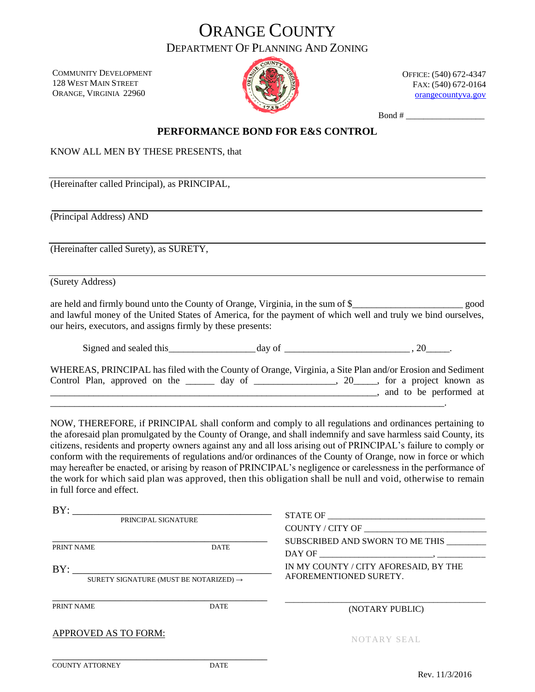COMMUNITY DEVELOPMENT 128 WEST MAIN STREET ORANGE, VIRGINIA 22960



OFFICE: (540) 672-4347 FAX: (540) 672-0164 [orangecountyva.gov](http://www.orangecova.com/)

Bond # \_\_\_\_\_\_\_\_\_\_\_\_\_\_\_\_\_\_

#### **PERFORMANCE BOND FOR E&S CONTROL**

KNOW ALL MEN BY THESE PRESENTS, that

(Hereinafter called Principal), as PRINCIPAL,

(Principal Address) AND

(Hereinafter called Surety), as SURETY,

(Surety Address)

are held and firmly bound unto the County of Orange, Virginia, in the sum of \$\_\_\_\_\_\_\_\_\_\_\_\_\_\_\_\_\_\_\_\_\_\_\_ good and lawful money of the United States of America, for the payment of which well and truly we bind ourselves, our heirs, executors, and assigns firmly by these presents:

Signed and sealed this  $\frac{day}{dx}$  of  $\frac{1}{x}$ 

|  | WHEREAS, PRINCIPAL has filed with the County of Orange, Virginia, a Site Plan and/or Erosion and Sediment                                                                                                                     |  |  |  |  |  |  |                        |  |
|--|-------------------------------------------------------------------------------------------------------------------------------------------------------------------------------------------------------------------------------|--|--|--|--|--|--|------------------------|--|
|  | Control Plan, approved on the day of 3.5 approved on the day of 3.5 approved on the day of 3.5 approved on the day of 3.5 approximately approximately control Plan, approved on the day of 3.5 approximately control Plan and |  |  |  |  |  |  |                        |  |
|  |                                                                                                                                                                                                                               |  |  |  |  |  |  | and to be performed at |  |
|  |                                                                                                                                                                                                                               |  |  |  |  |  |  |                        |  |

NOW, THEREFORE, if PRINCIPAL shall conform and comply to all regulations and ordinances pertaining to the aforesaid plan promulgated by the County of Orange, and shall indemnify and save harmless said County, its citizens, residents and property owners against any and all loss arising out of PRINCIPAL's failure to comply or conform with the requirements of regulations and/or ordinances of the County of Orange, now in force or which may hereafter be enacted, or arising by reason of PRINCIPAL's negligence or carelessness in the performance of the work for which said plan was approved, then this obligation shall be null and void, otherwise to remain in full force and effect.

| BY:<br>PRINCIPAL SIGNATURE |                                                    | STATE OF<br>COUNTY / CITY OF                                    |
|----------------------------|----------------------------------------------------|-----------------------------------------------------------------|
| PRINT NAME                 | <b>DATE</b>                                        | SUBSCRIBED AND SWORN TO ME THIS                                 |
| BY:                        | SURETY SIGNATURE (MUST BE NOTARIZED) $\rightarrow$ | IN MY COUNTY / CITY AFORESAID, BY THE<br>AFOREMENTIONED SURETY. |
| PRINT NAME                 | <b>DATE</b>                                        | (NOTARY PUBLIC)                                                 |
| APPROVED AS TO FORM:       |                                                    | NOTARY SEAL                                                     |
|                            |                                                    |                                                                 |